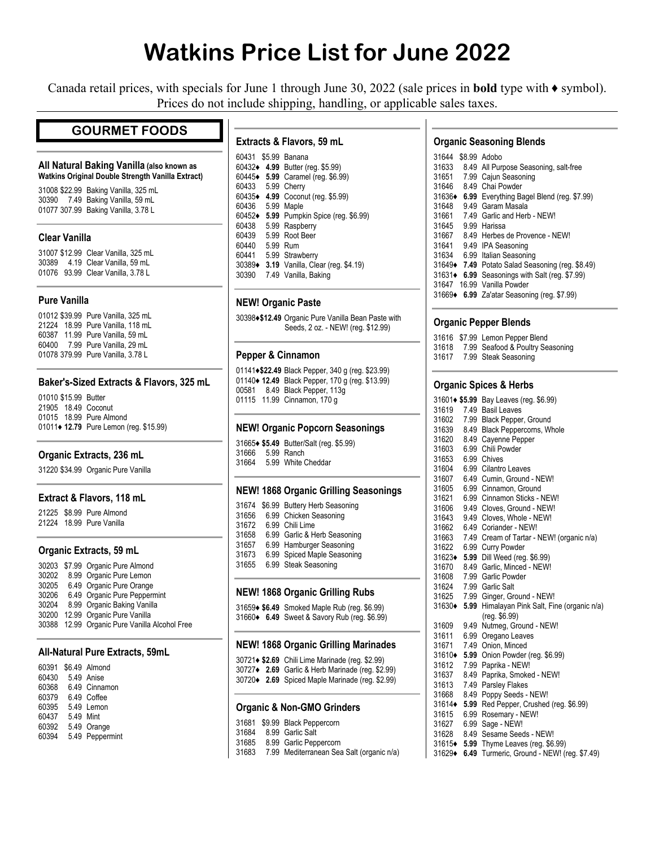# **Watkins Price List for June 2022**

Canada retail prices, with specials for June 1 through June 30, 2022 (sale prices in **bold** type with ♦ symbol). Prices do not include shipping, handling, or applicable sales taxes.

# **GOURMET FOODS**

#### **All Natural Baking Vanilla (also known as Watkins Original Double Strength Vanilla Extract)**

31008 \$22.99 Baking Vanilla, 325 mL 30390 7.49 Baking Vanilla, 59 mL 01077 307.99 Baking Vanilla, 3.78 L

#### **Clear Vanilla**

31007 \$12.99 Clear Vanilla, 325 mL 30389 4.19 Clear Vanilla, 59 mL 01076 93.99 Clear Vanilla, 3.78 L

#### **Pure Vanilla**

01012 \$39.99 Pure Vanilla, 325 mL 21224 18.99 Pure Vanilla, 118 mL 60387 11.99 Pure Vanilla, 59 mL 60400 7.99 Pure Vanilla, 29 mL 01078 379.99 Pure Vanilla, 3.78 L

#### **Baker's-Sized Extracts & Flavors, 325 mL**

01010 \$15.99 Butter 21905 18.49 Coconut 01015 18.99 Pure Almond 01011**♦ 12.79** Pure Lemon (reg. \$15.99)

#### **Organic Extracts, 236 mL**

31220 \$34.99 Organic Pure Vanilla

#### **Extract & Flavors, 118 mL**

21225 \$8.99 Pure Almond 21224 18.99 Pure Vanilla

#### **Organic Extracts, 59 mL**

| 30203 \$7.99 Organic Pure Almond              |
|-----------------------------------------------|
| 8.99 Organic Pure Lemon                       |
| 6.49 Organic Pure Orange                      |
| 6.49 Organic Pure Peppermint                  |
| 8.99 Organic Baking Vanilla                   |
| 12.99 Organic Pure Vanilla                    |
| 30388 12.99 Organic Pure Vanilla Alcohol Free |
|                                               |

#### **All-Natural Pure Extracts, 59mL**

| 60391 |           | \$6.49 Almond   |
|-------|-----------|-----------------|
| 60430 |           | 5.49 Anise      |
| 60368 |           | 6.49 Cinnamon   |
| 60379 |           | 6.49 Coffee     |
| 60395 |           | 5.49 Lemon      |
| 60437 | 5.49 Mint |                 |
| 60392 |           | 5.49 Orange     |
| 60394 |           | 5.49 Peppermint |

#### **Extracts & Flavors, 59 mL**

| 60431  |      | \$5.99 Banana                     |
|--------|------|-----------------------------------|
| 60432+ |      | 4.99 Butter (reg. \$5.99)         |
| 60445◆ | 5.99 | Caramel (reg. \$6.99)             |
| 60433  | 5.99 | Cherry                            |
| 60435◆ |      | 4.99 Coconut (reg. \$5.99)        |
| 60436  | 5.99 | Maple                             |
| 60452+ |      | 5.99 Pumpkin Spice (reg. \$6.99)  |
| 60438  |      | 5.99 Raspberry                    |
| 60439  | 5.99 | Root Beer                         |
| 60440  | 5.99 | Rum                               |
| 60441  |      | 5.99 Strawberry                   |
| 30389+ |      | 3.19 Vanilla, Clear (reg. \$4.19) |
| 30390  |      | 7.49 Vanilla, Baking              |

#### **NEW! Organic Paste**

30398**♦\$12.49** Organic Pure Vanilla Bean Paste with Seeds, 2 oz. - NEW! (reg. \$12.99)

#### **Pepper & Cinnamon**

01141**♦\$22.49** Black Pepper, 340 g (reg. \$23.99) 01140**♦ 12.49** Black Pepper, 170 g (reg. \$13.99) 00581 8.49 Black Pepper, 113g 01115 11.99 Cinnamon, 170 g

#### **NEW! Organic Popcorn Seasonings**

|       | 31665+ \$5.49 Butter/Salt (reg. \$5.99) |
|-------|-----------------------------------------|
| 31666 | 5.99 Ranch                              |
| 31664 | 5.99 White Cheddar                      |

#### **NEW! 1868 Organic Grilling Seasonings**

| 31674 | \$6.99 Buttery Herb Seasoning |
|-------|-------------------------------|
| 31656 | 6.99 Chicken Seasoning        |
| 31672 | 6.99 Chili Lime               |
| 31658 | 6.99 Garlic & Herb Seasoning  |
| 31657 | 6.99 Hamburger Seasoning      |
| 31673 | 6.99 Spiced Maple Seasoning   |
| 31655 | 6.99 Steak Seasoning          |
|       |                               |

#### **NEW! 1868 Organic Grilling Rubs**

31659**♦ \$6.49** Smoked Maple Rub (reg. \$6.99) 31660**♦ 6.49** Sweet & Savory Rub (reg. \$6.99)

#### **NEW! 1868 Organic Grilling Marinades**

|  | 30721◆ \$2.69 Chili Lime Marinade (reg. \$2.99)  |
|--|--------------------------------------------------|
|  | 30727◆ 2.69 Garlic & Herb Marinade (req. \$2.99) |
|  | 30720◆ 2.69 Spiced Maple Marinade (reg. \$2.99)  |

# **Organic & Non-GMO Grinders**

|       | 31681 \$9.99 Black Peppercorn |  |
|-------|-------------------------------|--|
| 31684 | 8.99 Garlic Salt              |  |

- 31685 8.99 Garlic Peppercorn
- 31683 7.99 Mediterranean Sea Salt (organic n/a)

# **Organic Seasoning Blends**

| 31644  | \$8.99 Adobo                                      |
|--------|---------------------------------------------------|
| 31633  | 8.49 All Purpose Seasoning, salt-free             |
| 31651  | 7.99 Cajun Seasoning                              |
| 31646  | 8.49 Chai Powder                                  |
| 31636♦ | 6.99 Everything Bagel Blend (reg. \$7.99)         |
| 31648  | 9.49 Garam Masala                                 |
| 31661  | 7.49 Garlic and Herb - NEW!                       |
| 31645  | 9.99 Harissa                                      |
| 31667  | 8.49 Herbes de Provence - NEW!                    |
| 31641  | 9.49 IPA Seasoning                                |
| 31634  | 6.99 Italian Seasoning                            |
|        | 31649 • 7.49 Potato Salad Seasoning (reg. \$8.49) |
| 31631♦ | 6.99 Seasonings with Salt (reg. \$7.99)           |
| 31647  | 16.99 Vanilla Powder                              |
|        | 31669 6.99 Za'atar Seasoning (reg. \$7.99)        |

#### **Organic Pepper Blends**

|       | 31616 \$7.99 Lemon Pepper Blend  |
|-------|----------------------------------|
| 31618 | 7.99 Seafood & Poultry Seasoning |
| 31617 | 7.99 Steak Seasoning             |

#### **Organic Spices & Herbs**

| 31601♦ \$5.99 |      | Bay Leaves (reg. \$6.99)                |
|---------------|------|-----------------------------------------|
| 31619         | 7.49 | <b>Basil Leaves</b>                     |
| 31602         |      | 7.99 Black Pepper, Ground               |
| 31639         | 8.49 | Black Peppercorns, Whole                |
| 31620         | 8.49 | Cayenne Pepper                          |
| 31603         | 6.99 | Chili Powder                            |
| 31653         |      | 6.99 Chives                             |
| 31604         |      | 6.99 Cilantro Leaves                    |
| 31607         |      | 6.49 Cumin, Ground - NEW!               |
| 31605         | 6.99 | Cinnamon, Ground                        |
| 31621         | 6.99 | Cinnamon Sticks - NEW!                  |
| 31606         | 9.49 | Cloves. Ground - NEW!                   |
| 31643         | 9.49 | Cloves, Whole - NEW!                    |
| 31662         | 6.49 | Coriander - NEW!                        |
| 31663         | 7.49 | Cream of Tartar - NEW! (organic n/a)    |
| 31622         | 6.99 | <b>Curry Powder</b>                     |
| 31623♦        | 5.99 | Dill Weed (req. \$6.99)                 |
| 31670         | 8.49 | Garlic, Minced - NEW!                   |
| 31608         |      | 7.99 Garlic Powder                      |
| 31624         |      | 7.99 Garlic Salt                        |
| 31625         |      | 7.99 Ginger, Ground - NEW!              |
| 31630◆        | 5.99 | Himalayan Pink Salt, Fine (organic n/a) |
|               |      | (reg. \$6.99)                           |
| 31609         | 9.49 | Nutmeg, Ground - NEW!                   |
| 31611         | 6.99 | Oregano Leaves                          |
| 31671         | 7.49 | Onion, Minced                           |
| 31610♦        | 5.99 | Onion Powder (reg. \$6.99)              |
| 31612         | 7.99 | Paprika - NEW!                          |
| 31637         | 8.49 | Paprika, Smoked - NEW!                  |
| 31613         | 7.49 | <b>Parsley Flakes</b>                   |
| 31668         | 8.49 | Poppy Seeds - NEW!                      |
| 31614+        | 5.99 | Red Pepper, Crushed (reg. \$6.99)       |
| 31615         | 6.99 | Rosemary - NEW!                         |
| 31627         | 6.99 | Sage - NEW!                             |
| 31628         | 8.49 | Sesame Seeds - NEW!                     |
| 31615◆        | 5.99 | Thyme Leaves (reg. \$6.99)              |
| 31629◆        | 6.49 | Turmeric, Ground - NEW! (reg. \$7.49)   |
|               |      |                                         |